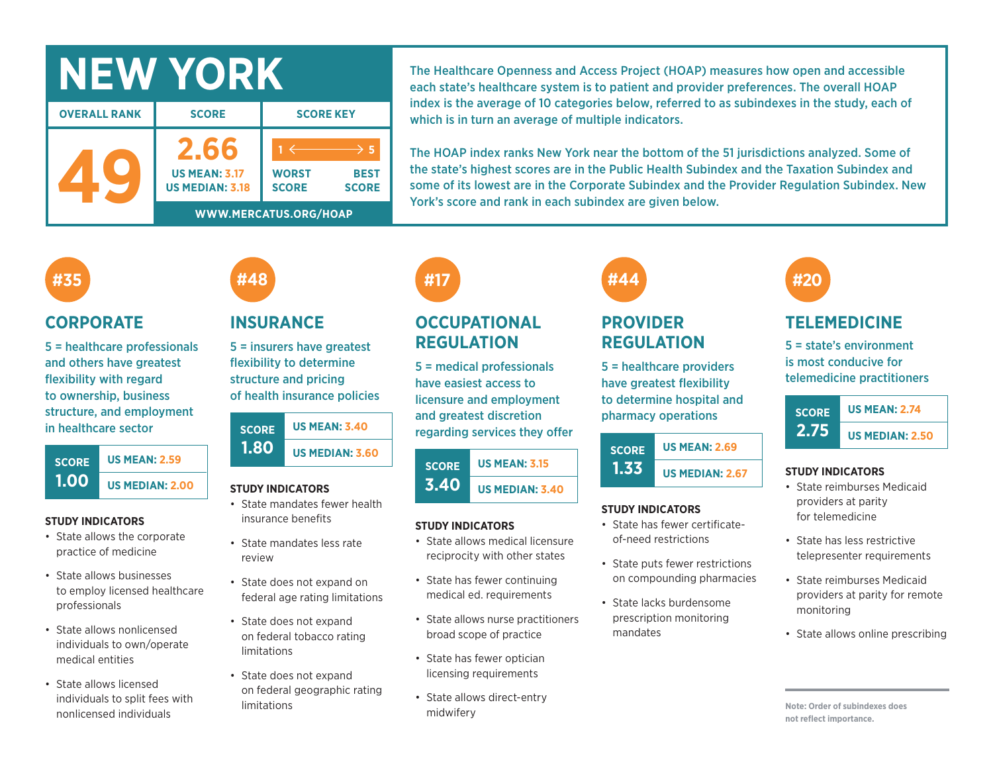# **NEW YORK**

| <b>OVERALL RANK</b> | <b>SCORE</b>                                           | <b>SCORE KEY</b>                                            |  |  |  |
|---------------------|--------------------------------------------------------|-------------------------------------------------------------|--|--|--|
|                     | 2.61<br><b>US MEAN: 3.17</b><br><b>US MEDIAN: 3.18</b> | <b>WORST</b><br><b>BEST</b><br><b>SCORE</b><br><b>SCORE</b> |  |  |  |
|                     | WWW.MERCATUS.ORG/HOAP                                  |                                                             |  |  |  |

The Healthcare Openness and Access Project (HOAP) measures how open and accessible each state's healthcare system is to patient and provider preferences. The overall HOAP index is the average of 10 categories below, referred to as subindexes in the study, each of which is in turn an average of multiple indicators.

The HOAP index ranks New York near the bottom of the 51 jurisdictions analyzed. Some of the state's highest scores are in the Public Health Subindex and the Taxation Subindex and some of its lowest are in the Corporate Subindex and the Provider Regulation Subindex. New York's score and rank in each subindex are given below.

## **#35**

### **CORPORATE**

5 = healthcare professionals and others have greatest flexibility with regard to ownership, business structure, and employment in healthcare sector



#### **STUDY INDICATORS**

- State allows the corporate practice of medicine
- State allows businesses to employ licensed healthcare professionals
- State allows nonlicensed individuals to own/operate medical entities
- State allows licensed individuals to split fees with nonlicensed individuals

## **INSURANCE**

**#48**

5 = insurers have greatest flexibility to determine structure and pricing of health insurance policies

| <b>SCORE</b> | <b>US MEAN: 3.40</b>   |  |  |  |  |
|--------------|------------------------|--|--|--|--|
| 1.80         | <b>US MEDIAN: 3.60</b> |  |  |  |  |

#### **STUDY INDICATORS**

- State mandates fewer health insurance benefits
- State mandates less rate review
- State does not expand on federal age rating limitations
- State does not expand on federal tobacco rating limitations
- State does not expand on federal geographic rating limitations

## **#17**

## **OCCUPATIONAL REGULATION**

5 = medical professionals have easiest access to licensure and employment and greatest discretion regarding services they offer

#### **SCORE 3.40 US MEAN: 3.15 US MEDIAN: 3.40**

#### **STUDY INDICATORS**

- State allows medical licensure reciprocity with other states
- State has fewer continuing medical ed. requirements
- State allows nurse practitioners broad scope of practice
- State has fewer optician licensing requirements
- State allows direct-entry midwifery

# **#44**

## **PROVIDER REGULATION**

5 = healthcare providers have greatest flexibility to determine hospital and pharmacy operations

| <b>SCORE</b> | <b>US MEAN: 2.69</b>   |  |  |  |
|--------------|------------------------|--|--|--|
| 1.33         | <b>US MEDIAN: 2.67</b> |  |  |  |

#### **STUDY INDICATORS**

- State has fewer certificateof-need restrictions
- State puts fewer restrictions on compounding pharmacies
- State lacks burdensome prescription monitoring mandates

# **#20**

## **TELEMEDICINE**

5 = state's environment is most conducive for telemedicine practitioners



#### **STUDY INDICATORS**

- State reimburses Medicaid providers at parity for telemedicine
- State has less restrictive telepresenter requirements
- State reimburses Medicaid providers at parity for remote monitoring
- State allows online prescribing

**Note: Order of subindexes does not reflect importance.**